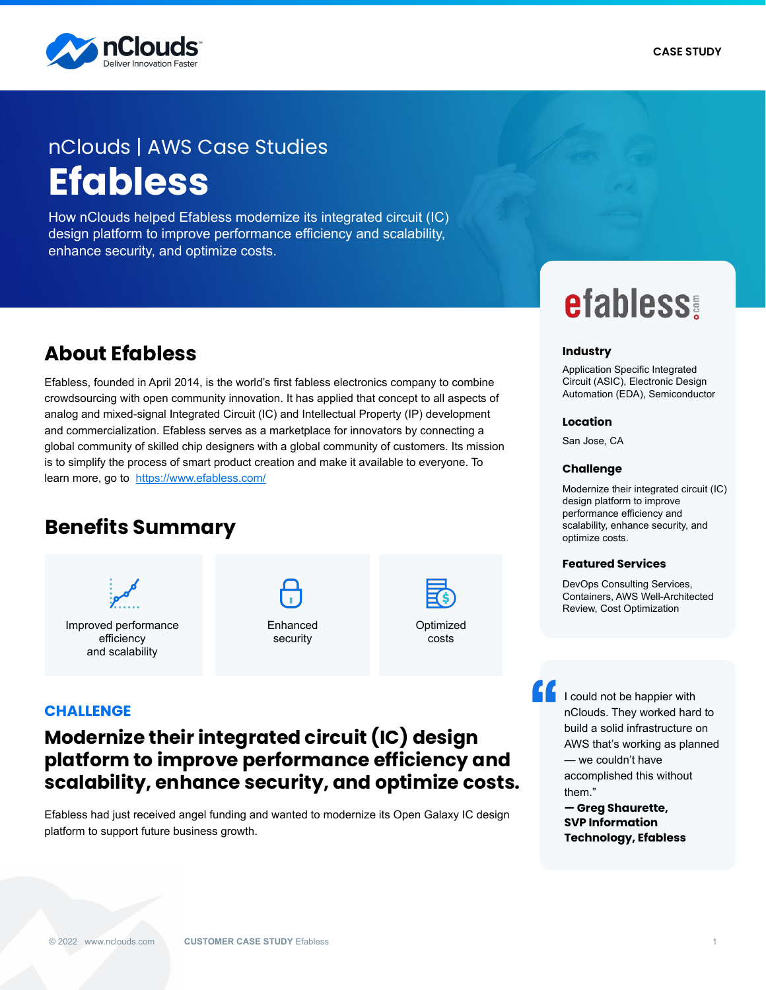

# nClouds | AWS Case Studies **Efabless**

How nClouds helped Efabless modernize its integrated circuit (IC) design platform to improve performance efficiency and scalability, enhance security, and optimize costs.

## **About Efabless**

Efabless, founded in April 2014, is the world's first fabless electronics company to combine crowdsourcing with open community innovation. It has applied that concept to all aspects of analog and mixed-signal Integrated Circuit (IC) and Intellectual Property (IP) development and commercialization. Efabless serves as a marketplace for innovators by connecting a global community of skilled chip designers with a global community of customers. Its mission is to simplify the process of smart product creation and make it available to everyone. To learn more, go to <https://www.efabless.com/>

# **Benefits Summary**



and scalability

Enhanced security



costs

**efabless!** 

#### **Industry**

Application Specific Integrated Circuit (ASIC), Electronic Design Automation (EDA), Semiconductor

#### **Location**

San Jose, CA

#### **Challenge**

Modernize their integrated circuit (IC) design platform to improve performance efficiency and scalability, enhance security, and optimize costs.

#### **Featured Services**

DevOps Consulting Services, Containers, AWS Well-Architected Review, Cost Optimization

**CHALLENGE**

## **Modernize their integrated circuit (IC) design platform to improve performance efficiency and scalability, enhance security, and optimize costs.**

Efabless had just received angel funding and wanted to modernize its Open Galaxy IC design platform to support future business growth.

I could not be happier with nClouds. They worked hard to build a solid infrastructure on AWS that's working as planned — we couldn't have accomplished this without them."

**— Greg Shaurette, SVP Information Technology, Efabless**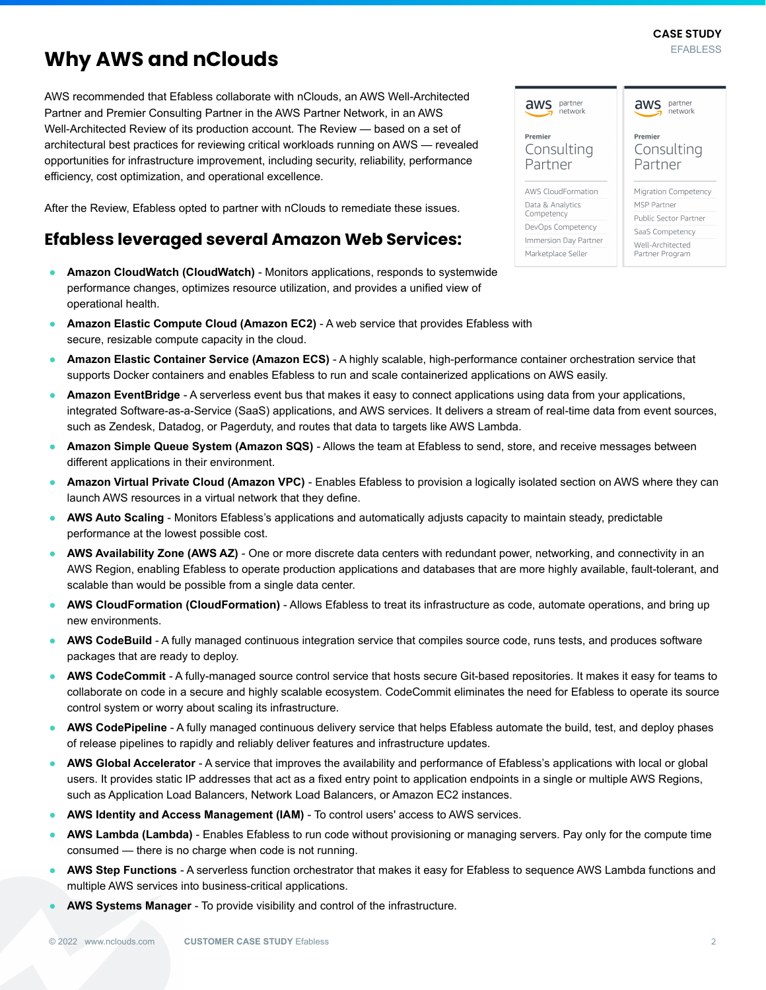#### **EFABLESS CASE STUDY**

# **Why AWS and nClouds**

AWS recommended that Efabless collaborate with nClouds, an AWS Well-Architected Partner and Premier Consulting Partner in the AWS Partner Network, in an AWS Well-Architected Review of its production account. The Review — based on a set of architectural best practices for reviewing critical workloads running on AWS — revealed opportunities for infrastructure improvement, including security, reliability, performance efficiency, cost optimization, and operational excellence.

After the Review, Efabless opted to partner with nClouds to remediate these issues.

## **Efabless leveraged several Amazon Web Services:**

- **Amazon CloudWatch (CloudWatch)** Monitors applications, responds to systemwide performance changes, optimizes resource utilization, and provides a unified view of operational health.
- **Amazon Elastic Compute Cloud (Amazon EC2)** A web service that provides Efabless with secure, resizable compute capacity in the cloud.
- **Amazon Elastic Container Service (Amazon ECS)**  A highly scalable, high-performance container orchestration service that supports Docker containers and enables Efabless to run and scale containerized applications on AWS easily.
- Amazon EventBridge A serverless event bus that makes it easy to connect applications using data from your applications, integrated Software-as-a-Service (SaaS) applications, and AWS services. It delivers a stream of real-time data from event sources, such as Zendesk, Datadog, or Pagerduty, and routes that data to targets like AWS Lambda.
- **Amazon Simple Queue System (Amazon SQS)** Allows the team at Efabless to send, store, and receive messages between different applications in their environment.
- **Amazon Virtual Private Cloud (Amazon VPC)**  Enables Efabless to provision a logically isolated section on AWS where they can launch AWS resources in a virtual network that they define.
- AWS Auto Scaling Monitors Efabless's applications and automatically adjusts capacity to maintain steady, predictable performance at the lowest possible cost.
- AWS Availability Zone (AWS AZ) One or more discrete data centers with redundant power, networking, and connectivity in an AWS Region, enabling Efabless to operate production applications and databases that are more highly available, fault-tolerant, and scalable than would be possible from a single data center.
- **AWS CloudFormation (CloudFormation)** Allows Efabless to treat its infrastructure as code, automate operations, and bring up new environments.
- AWS CodeBuild A fully managed continuous integration service that compiles source code, runs tests, and produces software packages that are ready to deploy.
- AWS CodeCommit A fully-managed source control service that hosts secure Git-based repositories. It makes it easy for teams to collaborate on code in a secure and highly scalable ecosystem. CodeCommit eliminates the need for Efabless to operate its source control system or worry about scaling its infrastructure.
- AWS CodePipeline A fully managed continuous delivery service that helps Efabless automate the build, test, and deploy phases of release pipelines to rapidly and reliably deliver features and infrastructure updates.
- AWS Global Accelerator A service that improves the availability and performance of Efabless's applications with local or global users. It provides static IP addresses that act as a fixed entry point to application endpoints in a single or multiple AWS Regions, such as Application Load Balancers, Network Load Balancers, or Amazon EC2 instances.
- **AWS Identity and Access Management (IAM)** To control users' access to AWS services.
- AWS Lambda (Lambda) Enables Efabless to run code without provisioning or managing servers. Pay only for the compute time consumed — there is no charge when code is not running.
- **AWS Step Functions** A serverless function orchestrator that makes it easy for Efabless to sequence AWS Lambda functions and multiple AWS services into business-critical applications.
- AWS Systems Manager To provide visibility and control of the infrastructure.

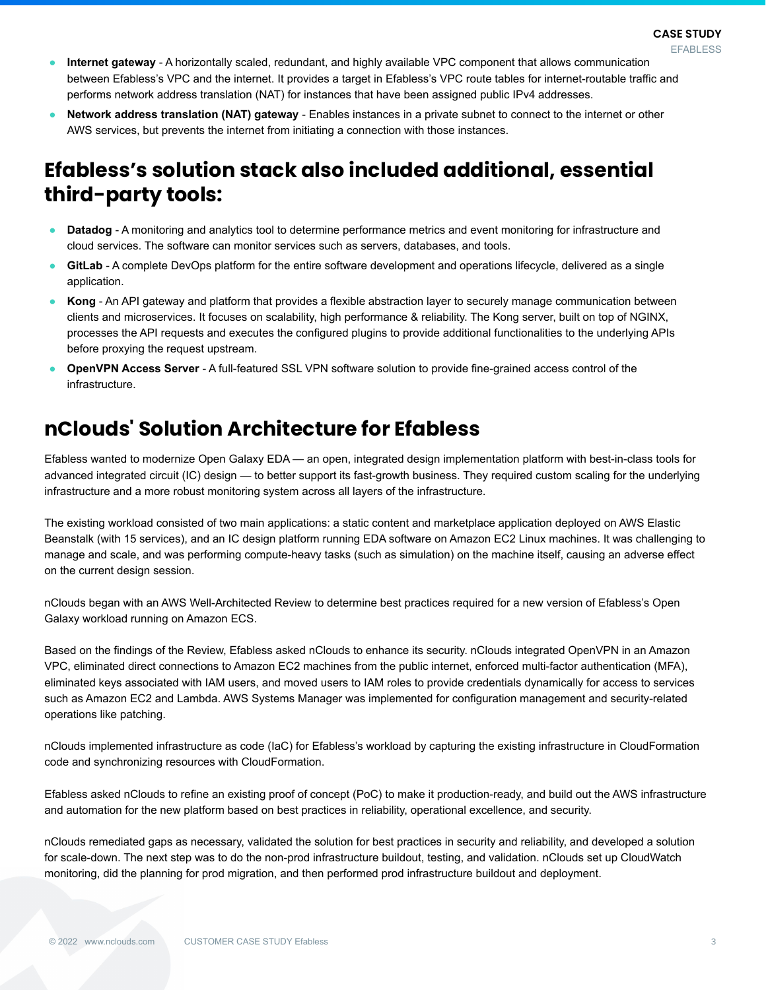- **Internet gateway** A horizontally scaled, redundant, and highly available VPC component that allows communication between Efabless's VPC and the internet. It provides a target in Efabless's VPC route tables for internet-routable traffic and performs network address translation (NAT) for instances that have been assigned public IPv4 addresses.
- **Network address translation (NAT) gateway** Enables instances in a private subnet to connect to the internet or other AWS services, but prevents the internet from initiating a connection with those instances.

# **Efabless's solution stack also included additional, essential third-party tools:**

- **Datadog**  A monitoring and analytics tool to determine performance metrics and event monitoring for infrastructure and cloud services. The software can monitor services such as servers, databases, and tools.
- GitLab A complete DevOps platform for the entire software development and operations lifecycle, delivered as a single application.
- **Kong** An API gateway and platform that provides a flexible abstraction layer to securely manage communication between clients and microservices. It focuses on scalability, high performance & reliability. The Kong server, built on top of NGINX, processes the API requests and executes the configured plugins to provide additional functionalities to the underlying APIs before proxying the request upstream.
- **OpenVPN Access Server** A full-featured SSL VPN software solution to provide fine-grained access control of the infrastructure.

# **nClouds' Solution Architecture for Efabless**

Efabless wanted to modernize Open Galaxy EDA — an open, integrated design implementation platform with best-in-class tools for advanced integrated circuit (IC) design — to better support its fast-growth business. They required custom scaling for the underlying infrastructure and a more robust monitoring system across all layers of the infrastructure.

The existing workload consisted of two main applications: a static content and marketplace application deployed on AWS Elastic Beanstalk (with 15 services), and an IC design platform running EDA software on Amazon EC2 Linux machines. It was challenging to manage and scale, and was performing compute-heavy tasks (such as simulation) on the machine itself, causing an adverse effect on the current design session.

nClouds began with an AWS Well-Architected Review to determine best practices required for a new version of Efabless's Open Galaxy workload running on Amazon ECS.

Based on the findings of the Review, Efabless asked nClouds to enhance its security. nClouds integrated OpenVPN in an Amazon VPC, eliminated direct connections to Amazon EC2 machines from the public internet, enforced multi-factor authentication (MFA), eliminated keys associated with IAM users, and moved users to IAM roles to provide credentials dynamically for access to services such as Amazon EC2 and Lambda. AWS Systems Manager was implemented for configuration management and security-related operations like patching.

nClouds implemented infrastructure as code (IaC) for Efabless's workload by capturing the existing infrastructure in CloudFormation code and synchronizing resources with CloudFormation.

Efabless asked nClouds to refine an existing proof of concept (PoC) to make it production-ready, and build out the AWS infrastructure and automation for the new platform based on best practices in reliability, operational excellence, and security.

nClouds remediated gaps as necessary, validated the solution for best practices in security and reliability, and developed a solution for scale-down. The next step was to do the non-prod infrastructure buildout, testing, and validation. nClouds set up CloudWatch monitoring, did the planning for prod migration, and then performed prod infrastructure buildout and deployment.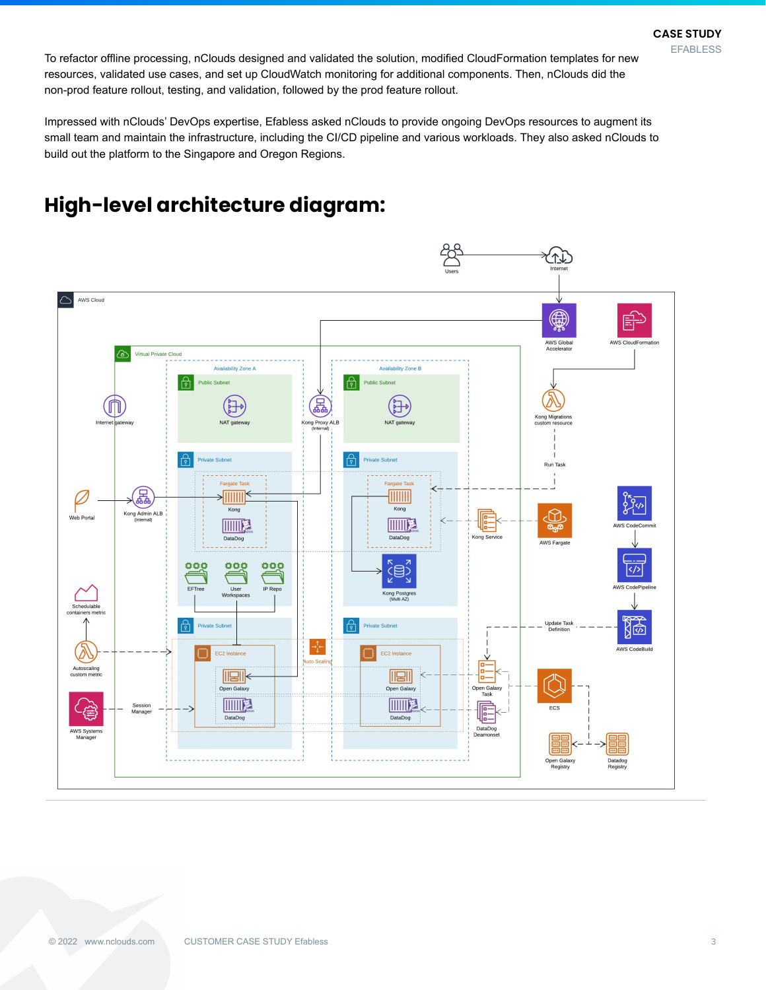To refactor offline processing, nClouds designed and validated the solution, modified CloudFormation templates for new resources, validated use cases, and set up CloudWatch monitoring for additional components. Then, nClouds did the non-prod feature rollout, testing, and validation, followed by the prod feature rollout.

Impressed with nClouds' DevOps expertise, Efabless asked nClouds to provide ongoing DevOps resources to augment its small team and maintain the infrastructure, including the CI/CD pipeline and various workloads. They also asked nClouds to build out the platform to the Singapore and Oregon Regions.

# **High-level architecture diagram:**